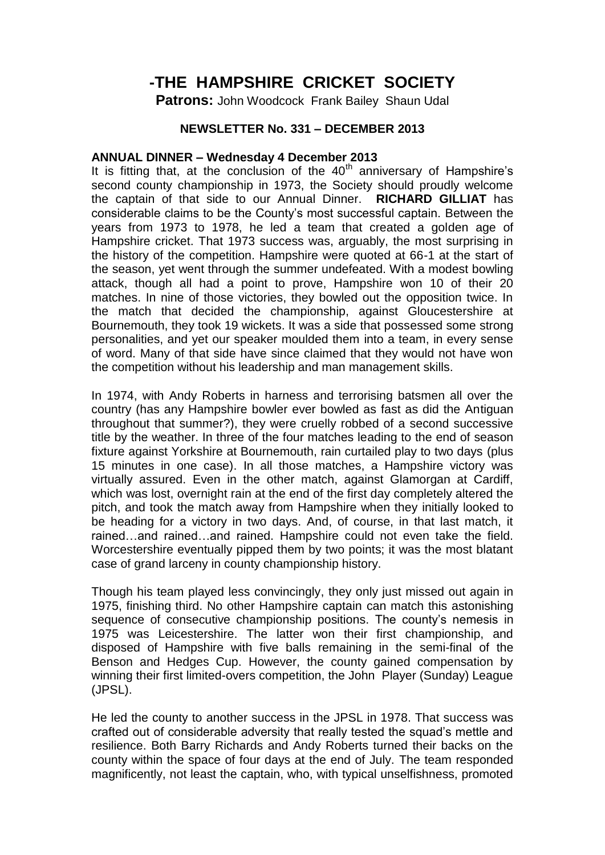## **-THE HAMPSHIRE CRICKET SOCIETY**

**Patrons:** John Woodcock Frank Bailey Shaun Udal

## **NEWSLETTER No. 331 – DECEMBER 2013**

## **ANNUAL DINNER – Wednesday 4 December 2013**

It is fitting that, at the conclusion of the  $40<sup>th</sup>$  anniversary of Hampshire's second county championship in 1973, the Society should proudly welcome the captain of that side to our Annual Dinner. **RICHARD GILLIAT** has considerable claims to be the County's most successful captain. Between the years from 1973 to 1978, he led a team that created a golden age of Hampshire cricket. That 1973 success was, arguably, the most surprising in the history of the competition. Hampshire were quoted at 66-1 at the start of the season, yet went through the summer undefeated. With a modest bowling attack, though all had a point to prove, Hampshire won 10 of their 20 matches. In nine of those victories, they bowled out the opposition twice. In the match that decided the championship, against Gloucestershire at Bournemouth, they took 19 wickets. It was a side that possessed some strong personalities, and yet our speaker moulded them into a team, in every sense of word. Many of that side have since claimed that they would not have won the competition without his leadership and man management skills.

In 1974, with Andy Roberts in harness and terrorising batsmen all over the country (has any Hampshire bowler ever bowled as fast as did the Antiguan throughout that summer?), they were cruelly robbed of a second successive title by the weather. In three of the four matches leading to the end of season fixture against Yorkshire at Bournemouth, rain curtailed play to two days (plus 15 minutes in one case). In all those matches, a Hampshire victory was virtually assured. Even in the other match, against Glamorgan at Cardiff, which was lost, overnight rain at the end of the first day completely altered the pitch, and took the match away from Hampshire when they initially looked to be heading for a victory in two days. And, of course, in that last match, it rained…and rained…and rained. Hampshire could not even take the field. Worcestershire eventually pipped them by two points; it was the most blatant case of grand larceny in county championship history.

Though his team played less convincingly, they only just missed out again in 1975, finishing third. No other Hampshire captain can match this astonishing sequence of consecutive championship positions. The county's nemesis in 1975 was Leicestershire. The latter won their first championship, and disposed of Hampshire with five balls remaining in the semi-final of the Benson and Hedges Cup. However, the county gained compensation by winning their first limited-overs competition, the John Player (Sunday) League (JPSL).

He led the county to another success in the JPSL in 1978. That success was crafted out of considerable adversity that really tested the squad's mettle and resilience. Both Barry Richards and Andy Roberts turned their backs on the county within the space of four days at the end of July. The team responded magnificently, not least the captain, who, with typical unselfishness, promoted